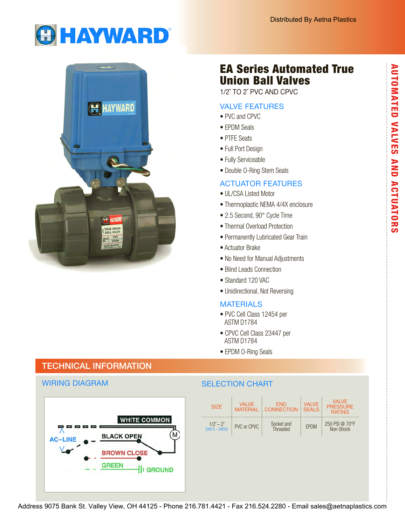EA Series Automated True

Union Ball Valves 1/2˝ TO 2˝ PVC AND CPVC

VALVE FEATURES

• Double O-Ring Stem Seals

• 2.5 Second, 90° Cycle Time • Thermal Overload Protection • Permanently Lubricated Gear Train

• No Need for Manual Adjustments

• Blind Leads Connection • Standard 120 VAC

• Unidirectional, Not Reversing

• PVC Cell Class 12454 per

• CPVC Cell Class 23447 per

• UL/CSA Listed Motor

• Actuator Brake

**MATERIALS** 

ASTM D1784

 ASTM D1784 • EPDM O-Ring Seals

ACTUATOR FEATURES

• Thermoplastic NEMA 4/4X enclosure

• PVC and CPVC • EPDM Seals • PTFE Seats • Full Port Design • Fully Serviceable





# TECHNICAL INFORMATION

## WIRING DIAGRAM

### SELECTION CHART